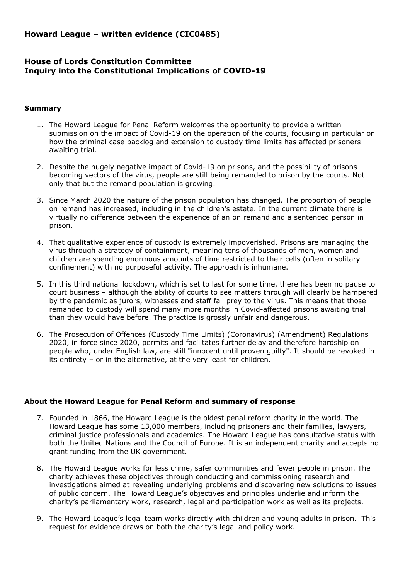# **Howard League – written evidence (CIC0485)**

# **House of Lords Constitution Committee Inquiry into the Constitutional Implications of COVID-19**

#### **Summary**

- 1. The Howard League for Penal Reform welcomes the opportunity to provide a written submission on the impact of Covid-19 on the operation of the courts, focusing in particular on how the criminal case backlog and extension to custody time limits has affected prisoners awaiting trial.
- 2. Despite the hugely negative impact of Covid-19 on prisons, and the possibility of prisons becoming vectors of the virus, people are still being remanded to prison by the courts. Not only that but the remand population is growing.
- 3. Since March 2020 the nature of the prison population has changed. The proportion of people on remand has increased, including in the children's estate. In the current climate there is virtually no difference between the experience of an on remand and a sentenced person in prison.
- 4. That qualitative experience of custody is extremely impoverished. Prisons are managing the virus through a strategy of containment, meaning tens of thousands of men, women and children are spending enormous amounts of time restricted to their cells (often in solitary confinement) with no purposeful activity. The approach is inhumane.
- 5. In this third national lockdown, which is set to last for some time, there has been no pause to court business – although the ability of courts to see matters through will clearly be hampered by the pandemic as jurors, witnesses and staff fall prey to the virus. This means that those remanded to custody will spend many more months in Covid-affected prisons awaiting trial than they would have before. The practice is grossly unfair and dangerous.
- 6. The Prosecution of Offences (Custody Time Limits) (Coronavirus) (Amendment) Regulations 2020, in force since 2020, permits and facilitates further delay and therefore hardship on people who, under English law, are still "innocent until proven guilty". It should be revoked in its entirety – or in the alternative, at the very least for children.

## **About the Howard League for Penal Reform and summary of response**

- 7. Founded in 1866, the Howard League is the oldest penal reform charity in the world. The Howard League has some 13,000 members, including prisoners and their families, lawyers, criminal justice professionals and academics. The Howard League has consultative status with both the United Nations and the Council of Europe. It is an independent charity and accepts no grant funding from the UK government.
- 8. The Howard League works for less crime, safer communities and fewer people in prison. The charity achieves these objectives through conducting and commissioning research and investigations aimed at revealing underlying problems and discovering new solutions to issues of public concern. The Howard League's objectives and principles underlie and inform the charity's parliamentary work, research, legal and participation work as well as its projects.
- 9. The Howard League's legal team works directly with children and young adults in prison. This request for evidence draws on both the charity's legal and policy work.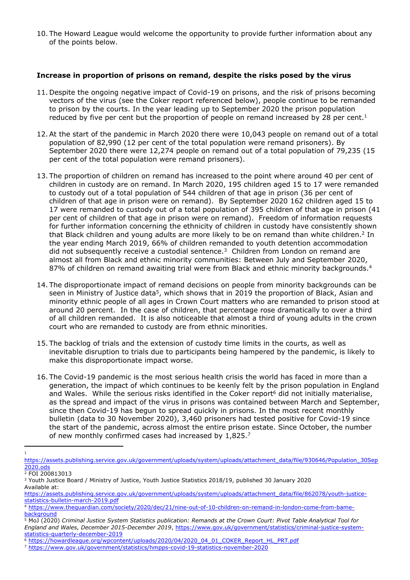10. The Howard League would welcome the opportunity to provide further information about any of the points below.

#### **Increase in proportion of prisons on remand, despite the risks posed by the virus**

- 11. Despite the ongoing negative impact of Covid-19 on prisons, and the risk of prisons becoming vectors of the virus (see the Coker report referenced below), people continue to be remanded to prison by the courts. In the year leading up to September 2020 the prison population reduced by five per cent but the proportion of people on remand increased by 28 per cent.<sup>1</sup>
- 12.At the start of the pandemic in March 2020 there were 10,043 people on remand out of a total population of 82,990 (12 per cent of the total population were remand prisoners). By September 2020 there were 12,274 people on remand out of a total population of 79,235 (15 per cent of the total population were remand prisoners).
- 13. The proportion of children on remand has increased to the point where around 40 per cent of children in custody are on remand. In March 2020, 195 children aged 15 to 17 were remanded to custody out of a total population of 544 children of that age in prison (36 per cent of children of that age in prison were on remand). By September 2020 162 children aged 15 to 17 were remanded to custody out of a total population of 395 children of that age in prison (41 per cent of children of that age in prison were on remand). Freedom of information requests for further information concerning the ethnicity of children in custody have consistently shown that Black children and young adults are more likely to be on remand than white children.<sup>2</sup> In the year ending March 2019, 66% of children remanded to youth detention accommodation did not subsequently receive a custodial sentence.<sup>3</sup> Children from London on remand are almost all from Black and ethnic minority communities: Between July and September 2020, 87% of children on remand awaiting trial were from Black and ethnic minority backgrounds.<sup>4</sup>
- 14. The disproportionate impact of remand decisions on people from minority backgrounds can be seen in Ministry of Justice data<sup>5</sup>, which shows that in 2019 the proportion of Black, Asian and minority ethnic people of all ages in Crown Court matters who are remanded to prison stood at around 20 percent. In the case of children, that percentage rose dramatically to over a third of all children remanded. It is also noticeable that almost a third of young adults in the crown court who are remanded to custody are from ethnic minorities.
- 15. The backlog of trials and the extension of custody time limits in the courts, as well as inevitable disruption to trials due to participants being hampered by the pandemic, is likely to make this disproportionate impact worse.
- 16. The Covid-19 pandemic is the most serious health crisis the world has faced in more than a generation, the impact of which continues to be keenly felt by the prison population in England and Wales. While the serious risks identified in the Coker report<sup>6</sup> did not initially materialise, as the spread and impact of the virus in prisons was contained between March and September, since then Covid-19 has begun to spread quickly in prisons. In the most recent monthly bulletin (data to 30 November 2020), 3,460 prisoners had tested positive for Covid-19 since the start of the pandemic, across almost the entire prison estate. Since October, the number of new monthly confirmed cases had increased by 1,825.<sup>7</sup>

<sup>1</sup>

[https://assets.publishing.service.gov.uk/government/uploads/system/uploads/attachment\\_data/file/930646/Population\\_30Sep](https://assets.publishing.service.gov.uk/government/uploads/system/uploads/attachment_data/file/930646/Population_30Sep2020.ods) [2020.ods](https://assets.publishing.service.gov.uk/government/uploads/system/uploads/attachment_data/file/930646/Population_30Sep2020.ods)

<sup>2</sup> FOI 200813013

<sup>3</sup> Youth Justice Board / Ministry of Justice, Youth Justice Statistics 2018/19, published 30 January 2020 Available at:

[https://assets.publishing.service.gov.uk/government/uploads/system/uploads/attachment\\_data/file/862078/youth-justice](https://assets.publishing.service.gov.uk/government/uploads/system/uploads/attachment_data/file/862078/youth-justice-statistics-bulletin-march-2019.pdf)[statistics-bulletin-march-2019.pdf](https://assets.publishing.service.gov.uk/government/uploads/system/uploads/attachment_data/file/862078/youth-justice-statistics-bulletin-march-2019.pdf)

<sup>4</sup> [https://www.theguardian.com/society/2020/dec/21/nine-out-of-10-children-on-remand-in-london-come-from-bame](https://www.theguardian.com/society/2020/dec/21/nine-out-of-10-children-on-remand-in-london-come-from-bame-background)[background](https://www.theguardian.com/society/2020/dec/21/nine-out-of-10-children-on-remand-in-london-come-from-bame-background)

<sup>&</sup>lt;sup>5</sup> MoJ (2020) Criminal Justice System Statistics publication: Remands at the Crown Court: Pivot Table Analytical Tool for *England and Wales, December 2015-December 2019*, [https://www.gov.uk/government/statistics/criminal-justice-system](https://www.gov.uk/government/statistics/criminal-justice-system-statistics-quarterly-december-2019)[statistics-quarterly-december-2019](https://www.gov.uk/government/statistics/criminal-justice-system-statistics-quarterly-december-2019)

<sup>6</sup> [https://howardleague.org/wpcontent/uploads/2020/04/2020\\_04\\_01\\_COKER\\_Report\\_HL\\_PRT.pdf](https://howardleague.org/wpcontent/uploads/2020/04/2020_04_01_COKER_Report_HL_PRT.pdf)

<sup>7</sup> <https://www.gov.uk/government/statistics/hmpps-covid-19-statistics-november-2020>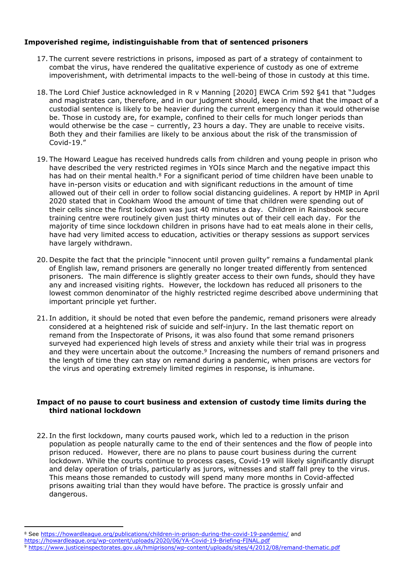## **Impoverished regime, indistinguishable from that of sentenced prisoners**

- 17. The current severe restrictions in prisons, imposed as part of a strategy of containment to combat the virus, have rendered the qualitative experience of custody as one of extreme impoverishment, with detrimental impacts to the well-being of those in custody at this time.
- 18. The Lord Chief Justice acknowledged in R v Manning [2020] EWCA Crim 592 §41 that "Judges and magistrates can, therefore, and in our judgment should, keep in mind that the impact of a custodial sentence is likely to be heavier during the current emergency than it would otherwise be. Those in custody are, for example, confined to their cells for much longer periods than would otherwise be the case – currently, 23 hours a day. They are unable to receive visits. Both they and their families are likely to be anxious about the risk of the transmission of Covid-19."
- 19. The Howard League has received hundreds calls from children and young people in prison who have described the very restricted regimes in YOIs since March and the negative impact this has had on their mental health.<sup>8</sup> For a significant period of time children have been unable to have in-person visits or education and with significant reductions in the amount of time allowed out of their cell in order to follow social distancing guidelines. A report by HMIP in April 2020 stated that in Cookham Wood the amount of time that children were spending out of their cells since the first lockdown was just 40 minutes a day. Children in Rainsbook secure training centre were routinely given just thirty minutes out of their cell each day. For the majority of time since lockdown children in prisons have had to eat meals alone in their cells, have had very limited access to education, activities or therapy sessions as support services have largely withdrawn.
- 20. Despite the fact that the principle "innocent until proven guilty" remains a fundamental plank of English law, remand prisoners are generally no longer treated differently from sentenced prisoners. The main difference is slightly greater access to their own funds, should they have any and increased visiting rights. However, the lockdown has reduced all prisoners to the lowest common denominator of the highly restricted regime described above undermining that important principle yet further.
- 21. In addition, it should be noted that even before the pandemic, remand prisoners were already considered at a heightened risk of suicide and self-injury. In the last thematic report on remand from the Inspectorate of Prisons, it was also found that some remand prisoners surveyed had experienced high levels of stress and anxiety while their trial was in progress and they were uncertain about the outcome.<sup>9</sup> Increasing the numbers of remand prisoners and the length of time they can stay on remand during a pandemic, when prisons are vectors for the virus and operating extremely limited regimes in response, is inhumane.

### **Impact of no pause to court business and extension of custody time limits during the third national lockdown**

22. In the first lockdown, many courts paused work, which led to a reduction in the prison population as people naturally came to the end of their sentences and the flow of people into prison reduced. However, there are no plans to pause court business during the current lockdown. While the courts continue to process cases, Covid-19 will likely significantly disrupt and delay operation of trials, particularly as jurors, witnesses and staff fall prey to the virus. This means those remanded to custody will spend many more months in Covid-affected prisons awaiting trial than they would have before. The practice is grossly unfair and dangerous.

<sup>8</sup> See <https://howardleague.org/publications/children-in-prison-during-the-covid-19-pandemic/> and

<https://howardleague.org/wp-content/uploads/2020/06/YA-Covid-19-Briefing-FINAL.pdf>

<sup>9</sup> <https://www.justiceinspectorates.gov.uk/hmiprisons/wp-content/uploads/sites/4/2012/08/remand-thematic.pdf>